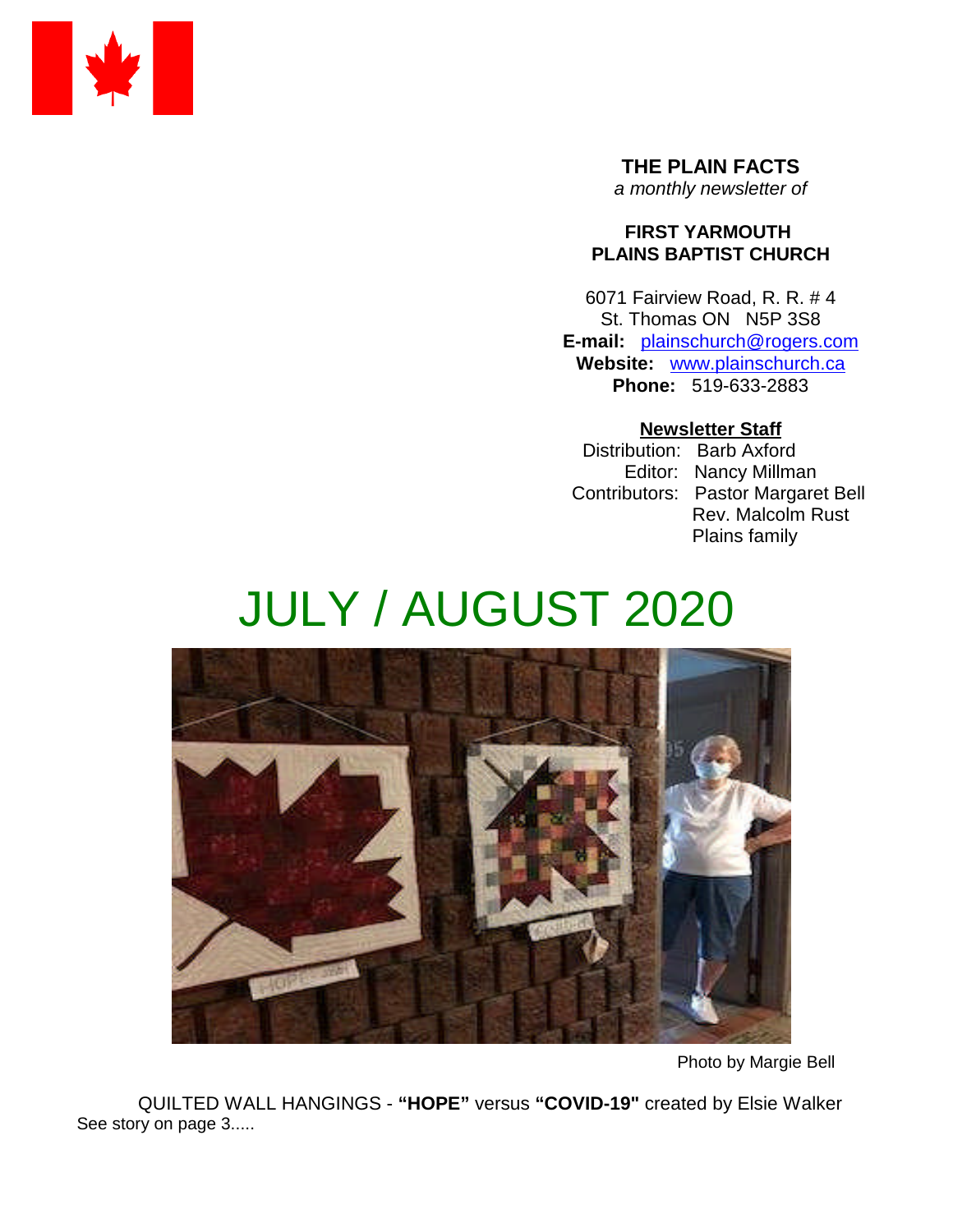

**THE PLAIN FACTS** *a monthly newsletter of*

### **FIRST YARMOUTH PLAINS BAPTIST CHURCH**

6071 Fairview Road, R. R. # 4 St. Thomas ON N5P 3S8 **E-mail:** plainschurch@rogers.com **Website:** www.plainschurch.ca **Phone:** 519-633-2883

## **Newsletter Staff**

Distribution: Barb Axford Editor: Nancy Millman Contributors: Pastor Margaret Bell Rev. Malcolm Rust Plains family

# JULY / AUGUST 2020



Photo by Margie Bell

QUILTED WALL HANGINGS - **"HOPE"** versus **"COVID-19"** created by Elsie Walker See story on page 3.....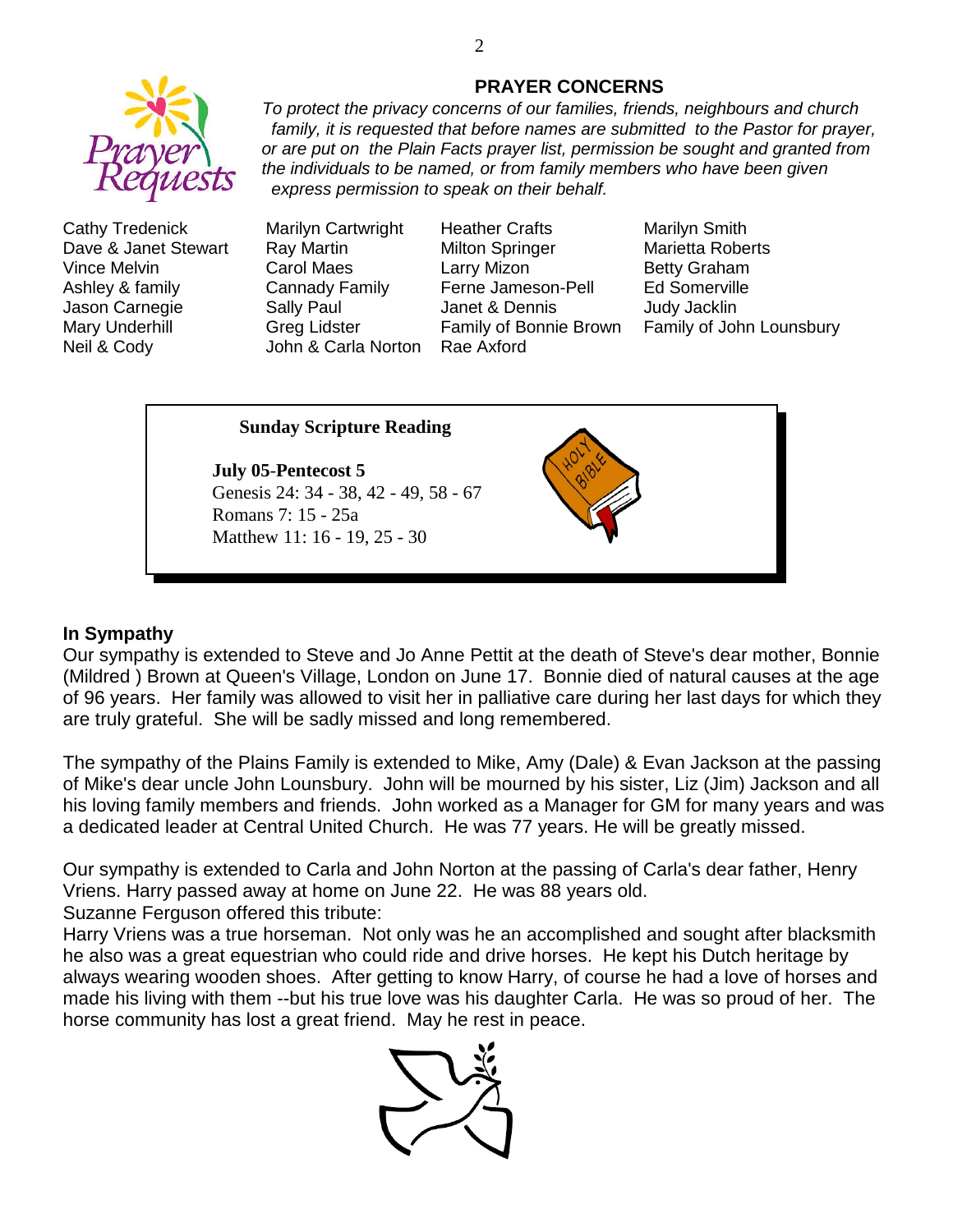

Cathy Tredenick Marilyn Cartwright Heather Crafts Marilyn Smith Dave & Janet Stewart Ray Martin Milton Springer Marietta Roberts Vince Melvin **Carol Maes** Larry Mizon **Betty Graham** Ashley & family Cannady Family Ferne Jameson-Pell Ed Somerville Jason Carnegie Sally Paul Janet & Dennis Judy Jacklin Neil & Cody John & Carla Norton Rae Axford

Mary Underhill **Greg Lidster** Family of Bonnie Brown Family of John Lounsbury

### **Sunday Scripture Reading**

**July 05**-**Pentecost 5** Genesis 24: 34 - 38, 42 - 49, 58 - 67 Romans 7: 15 - 25a Matthew 11: 16 - 19, 25 - 30



#### **In Sympathy**

Our sympathy is extended to Steve and Jo Anne Pettit at the death of Steve's dear mother, Bonnie (Mildred ) Brown at Queen's Village, London on June 17. Bonnie died of natural causes at the age of 96 years. Her family was allowed to visit her in palliative care during her last days for which they are truly grateful. She will be sadly missed and long remembered.

The sympathy of the Plains Family is extended to Mike, Amy (Dale) & Evan Jackson at the passing of Mike's dear uncle John Lounsbury. John will be mourned by his sister, Liz (Jim) Jackson and all his loving family members and friends. John worked as a Manager for GM for many years and was a dedicated leader at Central United Church. He was 77 years. He will be greatly missed.

Our sympathy is extended to Carla and John Norton at the passing of Carla's dear father, Henry Vriens. Harry passed away at home on June 22. He was 88 years old.

Suzanne Ferguson offered this tribute:

Harry Vriens was a true horseman. Not only was he an accomplished and sought after blacksmith he also was a great equestrian who could ride and drive horses. He kept his Dutch heritage by always wearing wooden shoes. After getting to know Harry, of course he had a love of horses and made his living with them --but his true love was his daughter Carla. He was so proud of her. The horse community has lost a great friend. May he rest in peace.



*express permission to speak on their behalf.*

#### **PRAYER CONCERNS** *To protect the privacy concerns of our families, friends, neighbours and church*

*family, it is requested that before names are submitted to the Pastor for prayer, or are put on the Plain Facts prayer list, permission be sought and granted from the individuals to be named, or from family members who have been given*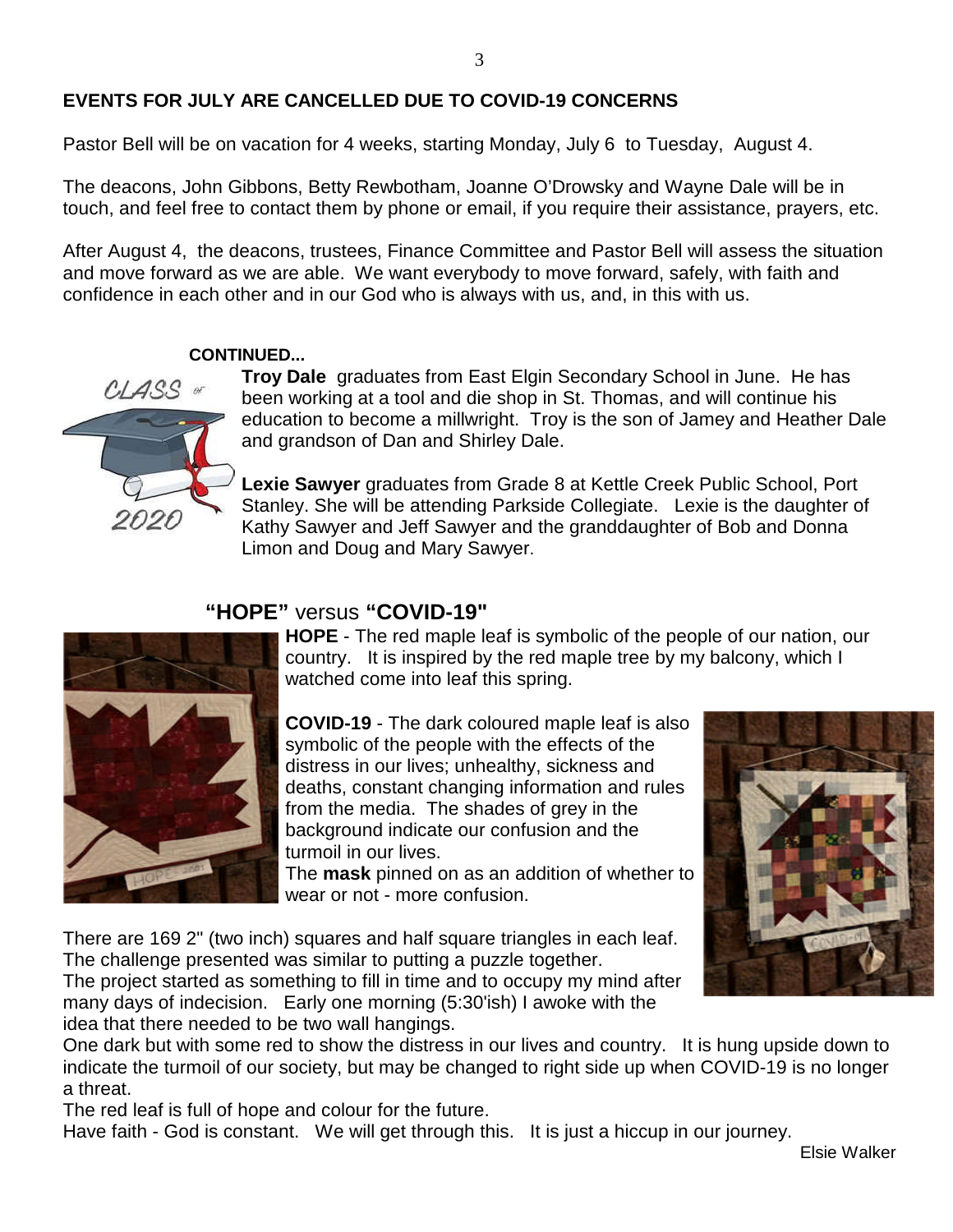# **EVENTS FOR JULY ARE CANCELLED DUE TO COVID-19 CONCERNS**

Pastor Bell will be on vacation for 4 weeks, starting Monday, July 6 to Tuesday, August 4.

The deacons, John Gibbons, Betty Rewbotham, Joanne O'Drowsky and Wayne Dale will be in touch, and feel free to contact them by phone or email, if you require their assistance, prayers, etc.

After August 4, the deacons, trustees, Finance Committee and Pastor Bell will assess the situation and move forward as we are able. We want everybody to move forward, safely, with faith and confidence in each other and in our God who is always with us, and, in this with us.

#### **CONTINUED...**



**Troy Dale** graduates from East Elgin Secondary School in June. He has been working at a tool and die shop in St. Thomas, and will continue his education to become a millwright. Troy is the son of Jamey and Heather Dale and grandson of Dan and Shirley Dale.

**Lexie Sawyer** graduates from Grade 8 at Kettle Creek Public School, Port Stanley. She will be attending Parkside Collegiate. Lexie is the daughter of Kathy Sawyer and Jeff Sawyer and the granddaughter of Bob and Donna Limon and Doug and Mary Sawyer.

# **"HOPE"** versus **"COVID-19"**



**HOPE** - The red maple leaf is symbolic of the people of our nation, our country. It is inspired by the red maple tree by my balcony, which I watched come into leaf this spring.

**COVID-19** - The dark coloured maple leaf is also symbolic of the people with the effects of the distress in our lives; unhealthy, sickness and deaths, constant changing information and rules from the media. The shades of grey in the background indicate our confusion and the turmoil in our lives.

The **mask** pinned on as an addition of whether to wear or not - more confusion.

There are 169 2" (two inch) squares and half square triangles in each leaf. The challenge presented was similar to putting a puzzle together. The project started as something to fill in time and to occupy my mind after many days of indecision. Early one morning (5:30'ish) I awoke with the

idea that there needed to be two wall hangings.

One dark but with some red to show the distress in our lives and country. It is hung upside down to indicate the turmoil of our society, but may be changed to right side up when COVID-19 is no longer a threat.

The red leaf is full of hope and colour for the future.

Have faith - God is constant. We will get through this. It is just a hiccup in our journey.

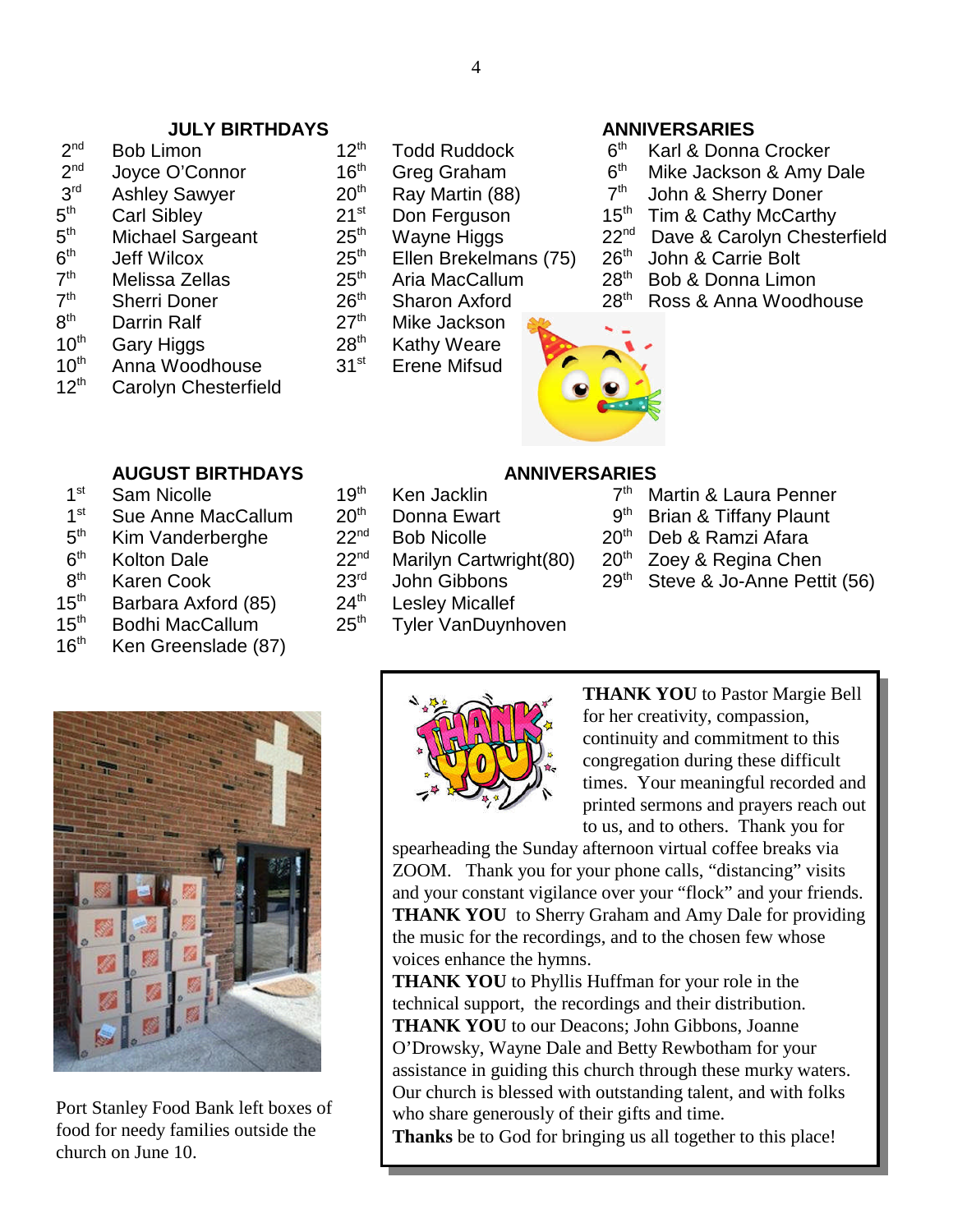#### **JULY BIRTHDAYS ANNIVERSARIES**

- $2<sup>nd</sup>$ nd Bob Limon 12th Todd Ruddock 6th Karl & Donna Crocker  $2<sup>nd</sup>$  $3<sup>rd</sup>$  $5^{\text{th}}$  $5<sup>th</sup>$  $6<sup>th</sup>$  $7<sup>th</sup>$
- $7<sup>th</sup>$
- 
- $8<sup>th</sup>$  10<sup>th</sup>
- 
- $10^{th}$  Anna Woodhouse  $31^{st}$  Erene Mifsud<br> $12^{th}$  Carolyn Chesterfield Carolyn Chesterfield
- 
- 
- 
- 
- 
- 
- th Jeff Wilcox 25th Ellen Brekelmans (75) 26th John & Carrie Bolt
	-
- Darrin Ralf 27<sup>th</sup> Mike Jackson
- Gary Higgs  $28<sup>th</sup>$  Kathy Weare
	-

- 
- Joyce O'Connor 16<sup>th</sup> Greg Graham 6<sup>th</sup> Mike Jackson & Amy Dale<br>Ashley Sawyer 20<sup>th</sup> Ray Martin (88) 7<sup>th</sup> John & Sherry Doner
- Ashley Sawyer 20<sup>th</sup> Ray Martin (88)  $7<sup>th</sup>$  John & Sherry Doner
- Carl Sibley 21st Don Ferguson 15<sup>th</sup> Tim & Cathy McCarthy
- Michael Sargeant 25<sup>th</sup> Wayne Higgs 22<sup>nd</sup> Dave & Carolyn Chesterfield<br>Jeff Wilcox 25<sup>th</sup> Ellen Brekelmans (75) 26<sup>th</sup> John & Carrie Bolt
	-
- Melissa Zellas  $25<sup>th</sup>$  Aria MacCallum  $28<sup>th</sup>$  Bob & Donna Limon
- Sherri Doner 26<sup>th</sup> Sharon Axford 28<sup>th</sup> Ross & Anna Woodhouse



# **AUGUST BIRTHDAYS ANNIVERSARIES**

- $1<sup>st</sup>$ Sam Nicolle  $19<sup>th</sup>$  Ken Jacklin  $7<sup>th</sup>$  Martin & Laura Penner
- $1^{\rm st}$ Sue Anne MacCallum  $20^{th}$  Donna Ewart  $9^{th}$  Brian & Tiffany Plaunt Kim Vanderberghe  $22^{nd}$  Bob Nicolle  $20^{th}$  Deb & Ramzi Afara
- $5<sup>th</sup>$ Kim Vanderberghe  $22^{nd}$  Bob Nicolle  $20^{th}$  Deb & Ramzi Afara
- $6<sup>th</sup>$ Kolton Dale 22<sup>nd</sup> Marilyn Cartwright(80) 20<sup>th</sup> Zoey & Regina Chen<br>Karen Cook 23<sup>rd</sup> John Gibbons 29<sup>th</sup> Steve & Jo-Anne Pett
- $8<sup>th</sup>$
- Karen Cook 23<sup>rd</sup> John Gibbons 29<sup>th</sup> Steve & Jo-Anne Pettit (56)<br>Barbara Axford (85) 24<sup>th</sup> Leslev Micallef  $15<sup>th</sup>$  Barbara Axford (85)  $24<sup>th</sup>$  Lesley Micallef
- 15<sup>th</sup> Bodhi MacCallum 25<sup>th</sup> Tyler VanDuynhoven
- 16<sup>th</sup> Ken Greenslade (87)



Port Stanley Food Bank left boxes of food for needy families outside the church on June 10.



**THANK YOU** to Pastor Margie Bell for her creativity, compassion, continuity and commitment to this congregation during these difficult times. Your meaningful recorded and printed sermons and prayers reach out to us, and to others. Thank you for

spearheading the Sunday afternoon virtual coffee breaks via ZOOM. Thank you for your phone calls, "distancing" visits and your constant vigilance over your "flock" and your friends. **THANK YOU** to Sherry Graham and Amy Dale for providing the music for the recordings, and to the chosen few whose voices enhance the hymns.

**THANK YOU** to Phyllis Huffman for your role in the technical support, the recordings and their distribution. **THANK YOU** to our Deacons; John Gibbons, Joanne O'Drowsky, Wayne Dale and Betty Rewbotham for your assistance in guiding this church through these murky waters. Our church is blessed with outstanding talent, and with folks who share generously of their gifts and time.

**Thanks** be to God for bringing us all together to this place!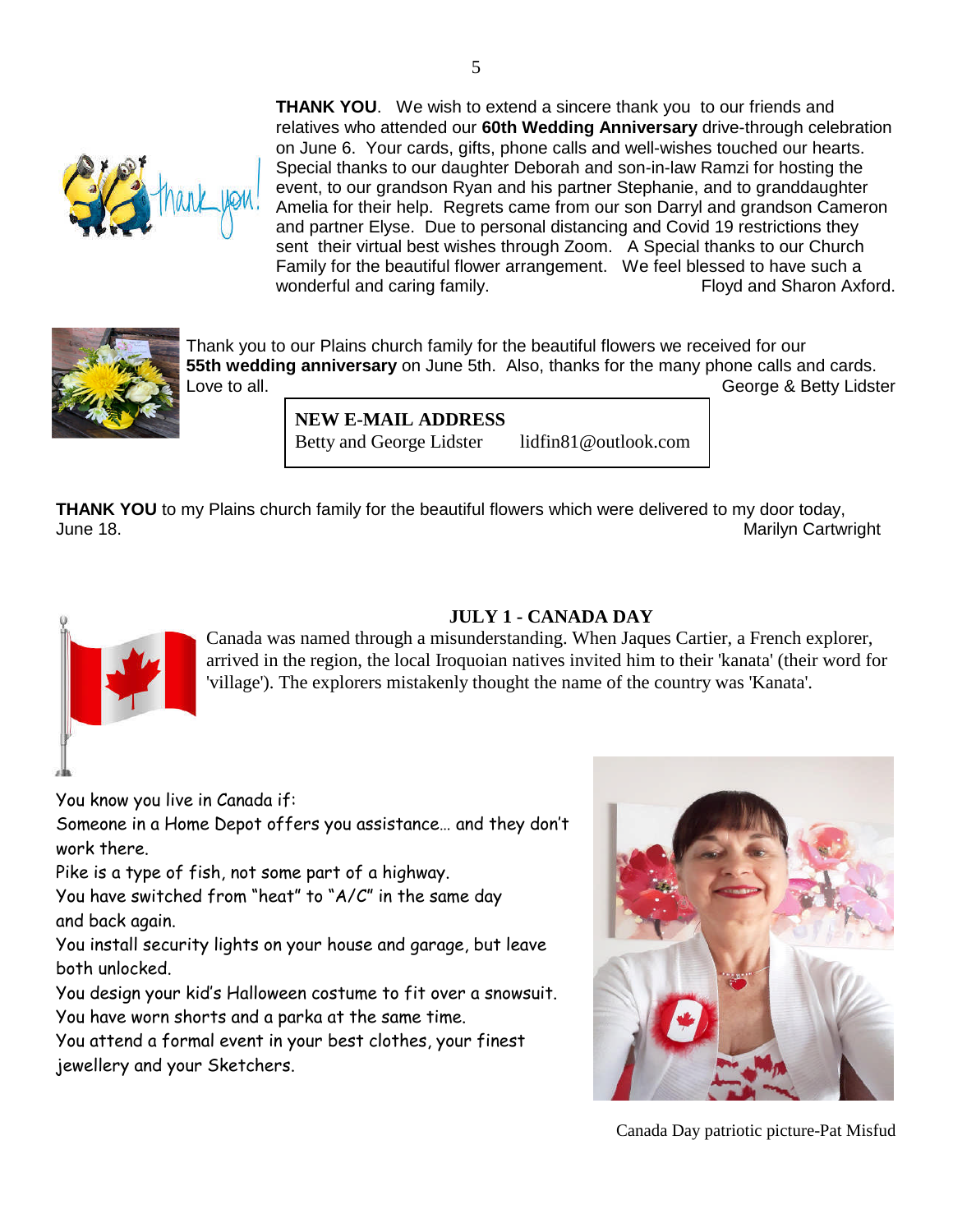**THANK YOU**. We wish to extend a sincere thank you to our friends and relatives who attended our **60th Wedding Anniversary** drive-through celebration on June 6. Your cards, gifts, phone calls and well-wishes touched our hearts. Special thanks to our daughter Deborah and son-in-law Ramzi for hosting the event, to our grandson Ryan and his partner Stephanie, and to granddaughter Amelia for their help. Regrets came from our son Darryl and grandson Cameron and partner Elyse. Due to personal distancing and Covid 19 restrictions they sent their virtual best wishes through Zoom. A Special thanks to our Church Family for the beautiful flower arrangement. We feel blessed to have such a wonderful and caring family. The same section of Floyd and Sharon Axford.



Thank you to our Plains church family for the beautiful flowers we received for our **55th wedding anniversary** on June 5th. Also, thanks for the many phone calls and cards. Love to all. George & Betty Lidster

> **NEW E-MAIL ADDRESS** Betty and George Lidster lidfin81@outlook.com

**THANK YOU** to my Plains church family for the beautiful flowers which were delivered to my door today, June 18. Marilyn Cartwright



# **JULY 1 - CANADA DAY**

Canada was named through a misunderstanding. When Jaques Cartier, a French explorer, arrived in the region, the local Iroquoian natives invited him to their 'kanata' (their word for 'village'). The explorers mistakenly thought the name of the country was 'Kanata'.

You know you live in Canada if:

Someone in a Home Depot offers you assistance… and they don't work there.

Pike is a type of fish, not some part of a highway.

You have switched from "heat" to "A/C" in the same day and back again.

You install security lights on your house and garage, but leave both unlocked.

You design your kid's Halloween costume to fit over a snowsuit. You have worn shorts and a parka at the same time.

You attend a formal event in your best clothes, your finest jewellery and your Sketchers.



Canada Day patriotic picture-Pat Misfud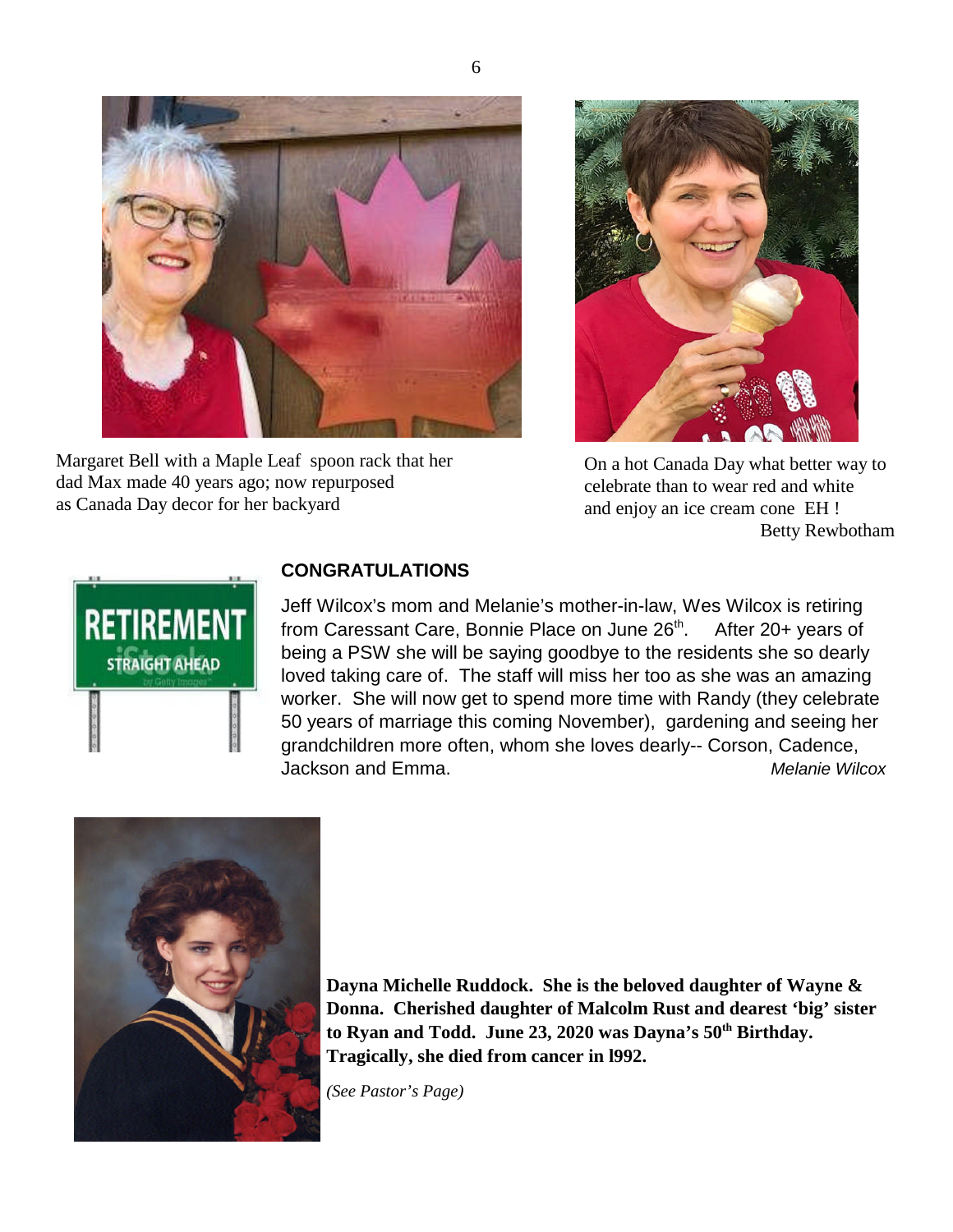

Margaret Bell with a Maple Leaf spoon rack that her dad Max made 40 years ago; now repurposed as Canada Day decor for her backyard



On a hot Canada Day what better way to celebrate than to wear red and white and enjoy an ice cream cone EH ! Betty Rewbotham



# **CONGRATULATIONS**

Jeff Wilcox's mom and Melanie's mother-in-law, Wes Wilcox is retiring from Caressant Care, Bonnie Place on June  $26<sup>th</sup>$ . After  $20+$  years of being a PSW she will be saying goodbye to the residents she so dearly loved taking care of. The staff will miss her too as she was an amazing worker. She will now get to spend more time with Randy (they celebrate 50 years of marriage this coming November), gardening and seeing her grandchildren more often, whom she loves dearly-- Corson, Cadence, Jackson and Emma. *Melanie Wilcox*



**Dayna Michelle Ruddock. She is the beloved daughter of Wayne & Donna. Cherished daughter of Malcolm Rust and dearest 'big' sister to Ryan and Todd. June 23, 2020 was Dayna's 50th Birthday. Tragically, she died from cancer in l992.**

*(See Pastor's Page)*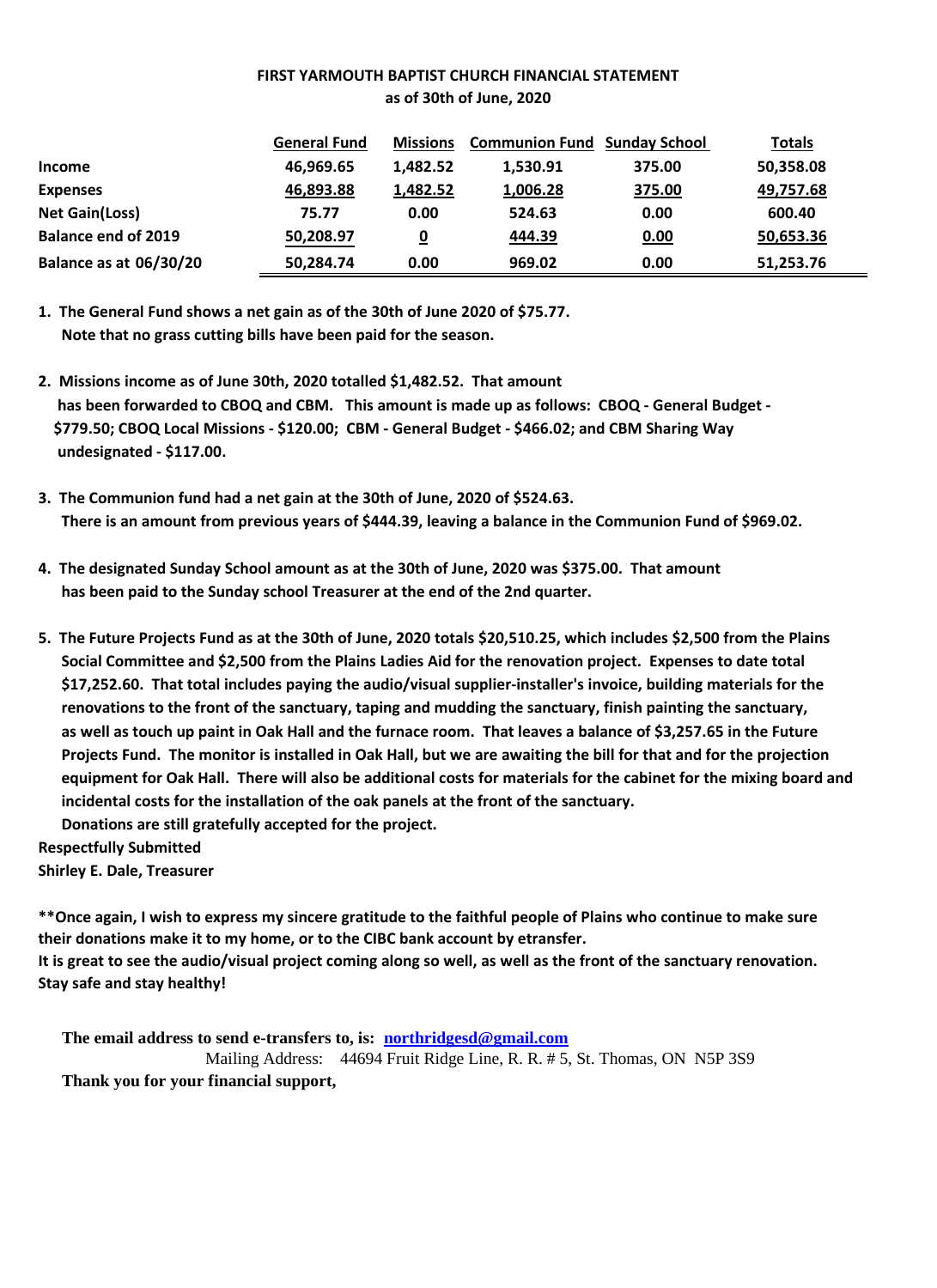#### **FIRST YARMOUTH BAPTIST CHURCH FINANCIAL STATEMENT as of 30th of June, 2020**

|                               | <b>General Fund</b> | <b>Missions</b>         | <b>Communion Fund Sunday School</b> |        | <b>Totals</b> |
|-------------------------------|---------------------|-------------------------|-------------------------------------|--------|---------------|
| <b>Income</b>                 | 46,969.65           | 1,482.52                | 1,530.91                            | 375.00 | 50,358.08     |
| <b>Expenses</b>               | 46,893.88           | 1,482.52                | 1,006.28                            | 375.00 | 49,757.68     |
| <b>Net Gain(Loss)</b>         | 75.77               | 0.00                    | 524.63                              | 0.00   | 600.40        |
| <b>Balance end of 2019</b>    | 50,208.97           | $\overline{\mathbf{0}}$ | 444.39                              | 0.00   | 50,653.36     |
| <b>Balance as at 06/30/20</b> | 50,284.74           | 0.00                    | 969.02                              | 0.00   | 51,253.76     |

**1. The General Fund shows a net gain as of the 30th of June 2020 of \$75.77. Note that no grass cutting bills have been paid for the season.**

- **2. Missions income as of June 30th, 2020 totalled \$1,482.52. That amount has been forwarded to CBOQ and CBM. This amount is made up as follows: CBOQ - General Budget - \$779.50; CBOQ Local Missions - \$120.00; CBM - General Budget - \$466.02; and CBM Sharing Way undesignated - \$117.00.**
- **3. The Communion fund had a net gain at the 30th of June, 2020 of \$524.63. There is an amount from previous years of \$444.39, leaving a balance in the Communion Fund of \$969.02.**
- **4. The designated Sunday School amount as at the 30th of June, 2020 was \$375.00. That amount has been paid to the Sunday school Treasurer at the end of the 2nd quarter.**
- **5. The Future Projects Fund as at the 30th of June, 2020 totals \$20,510.25, which includes \$2,500 from the Plains Social Committee and \$2,500 from the Plains Ladies Aid for the renovation project. Expenses to date total \$17,252.60. That total includes paying the audio/visual supplier-installer's invoice, building materials for the renovations to the front of the sanctuary, taping and mudding the sanctuary, finish painting the sanctuary, as well as touch up paint in Oak Hall and the furnace room. That leaves a balance of \$3,257.65 in the Future Projects Fund. The monitor is installed in Oak Hall, but we are awaiting the bill for that and for the projection equipment for Oak Hall. There will also be additional costs for materials for the cabinet for the mixing board and incidental costs for the installation of the oak panels at the front of the sanctuary. Donations are still gratefully accepted for the project.**

**Respectfully Submitted**

**Shirley E. Dale, Treasurer**

**\*\*Once again, I wish to express my sincere gratitude to the faithful people of Plains who continue to make sure their donations make it to my home, or to the CIBC bank account by etransfer. It is great to see the audio/visual project coming along so well, as well as the front of the sanctuary renovation. Stay safe and stay healthy!**

**The email address to send e-transfers to, is: northridgesd@gmail.com** Mailing Address: 44694 Fruit Ridge Line, R. R. # 5, St. Thomas, ON N5P 3S9 **Thank you for your financial support,**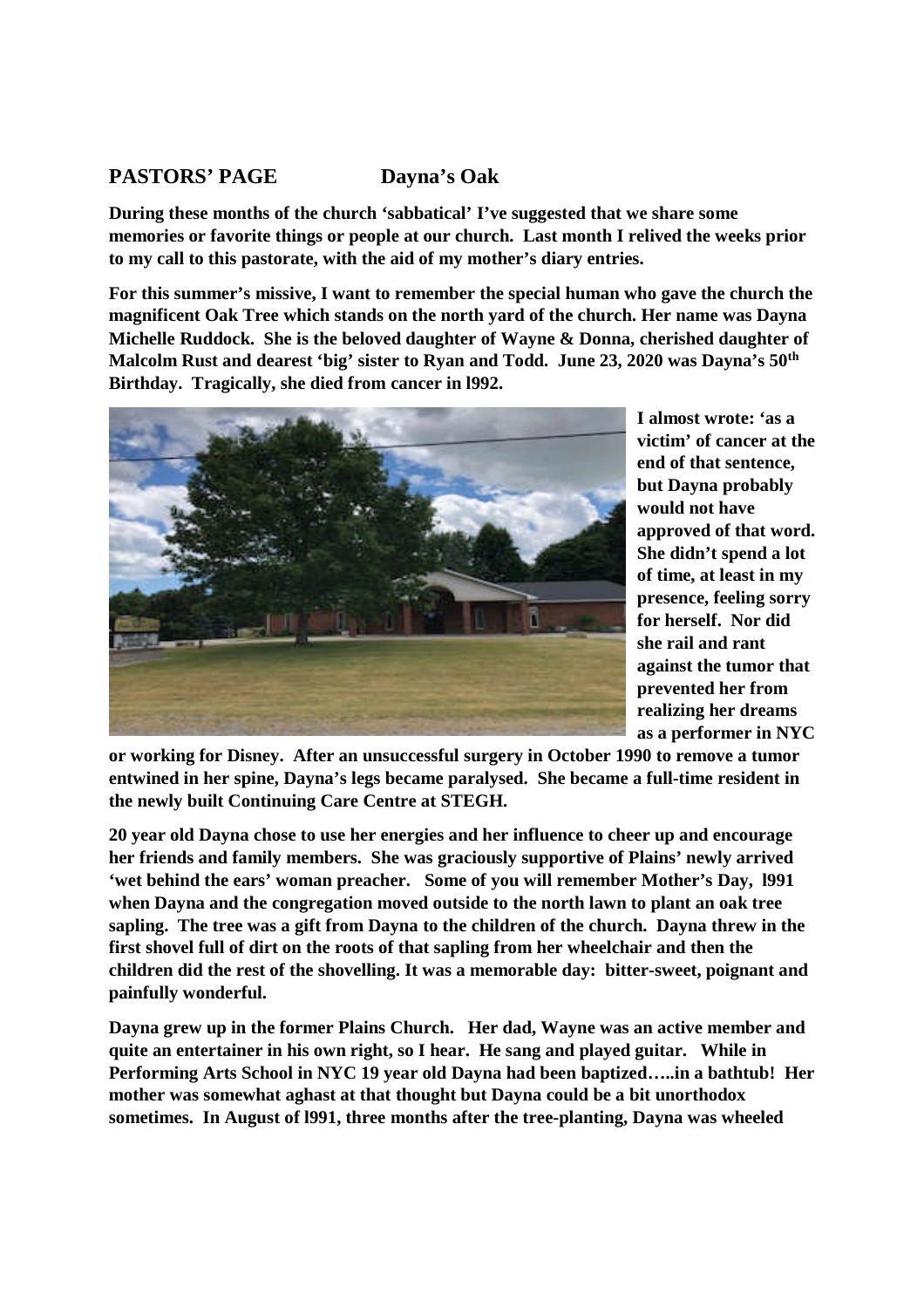# **PASTORS' PAGE Dayna's Oak**

**During these months of the church 'sabbatical' I've suggested that we share some memories or favorite things or people at our church. Last month I relived the weeks prior to my call to this pastorate, with the aid of my mother's diary entries.**

**For this summer's missive, I want to remember the special human who gave the church the magnificent Oak Tree which stands on the north yard of the church. Her name was Dayna Michelle Ruddock. She is the beloved daughter of Wayne & Donna, cherished daughter of Malcolm Rust and dearest 'big' sister to Ryan and Todd. June 23, 2020 was Dayna's 50th Birthday. Tragically, she died from cancer in l992.**



**I almost wrote: 'as a victim' of cancer at the end of that sentence, but Dayna probably would not have approved of that word. She didn't spend a lot of time, at least in my presence, feeling sorry for herself. Nor did she rail and rant against the tumor that prevented her from realizing her dreams as a performer in NYC**

**or working for Disney. After an unsuccessful surgery in October 1990 to remove a tumor entwined in her spine, Dayna's legs became paralysed. She became a full-time resident in the newly built Continuing Care Centre at STEGH.**

**20 year old Dayna chose to use her energies and her influence to cheer up and encourage her friends and family members. She was graciously supportive of Plains' newly arrived 'wet behind the ears' woman preacher. Some of you will remember Mother's Day, l991 when Dayna and the congregation moved outside to the north lawn to plant an oak tree sapling. The tree was a gift from Dayna to the children of the church. Dayna threw in the first shovel full of dirt on the roots of that sapling from her wheelchair and then the children did the rest of the shovelling. It was a memorable day: bitter-sweet, poignant and painfully wonderful.**

**Dayna grew up in the former Plains Church. Her dad, Wayne was an active member and quite an entertainer in his own right, so I hear. He sang and played guitar. While in Performing Arts School in NYC 19 year old Dayna had been baptized…..in a bathtub! Her mother was somewhat aghast at that thought but Dayna could be a bit unorthodox sometimes. In August of l991, three months after the tree-planting, Dayna was wheeled**